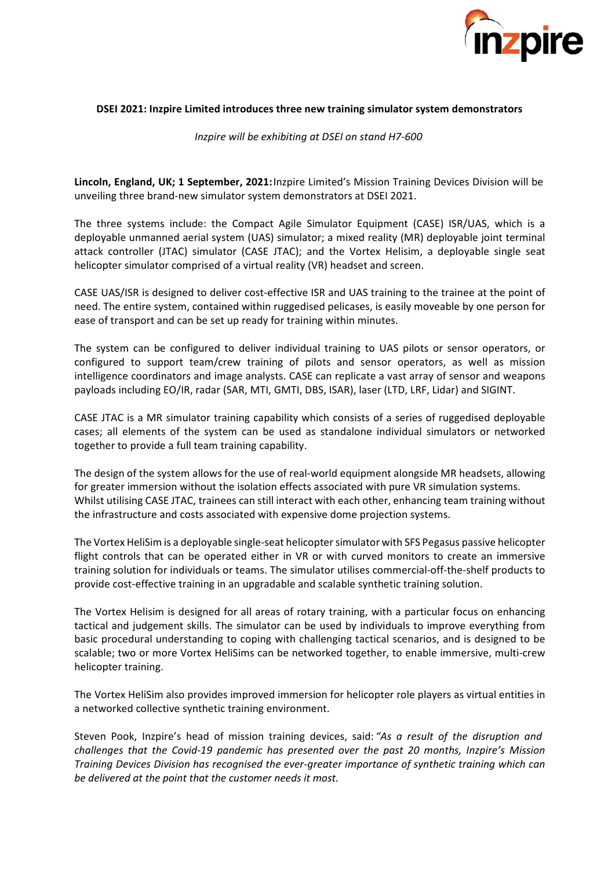

### **DSEI 2021: Inzpire Limited introduces three new training simulator system demonstrators**

*Inzpire will be exhibiting at DSEI on stand H7-600*

**Lincoln, England, UK; 1 September, 2021:**Inzpire Limited's Mission Training Devices Division will be unveiling three brand-new simulator system demonstrators at DSEI 2021.

The three systems include: the Compact Agile Simulator Equipment (CASE) ISR/UAS, which is a deployable unmanned aerial system (UAS) simulator; a mixed reality (MR) deployable joint terminal attack controller (JTAC) simulator (CASE JTAC); and the Vortex Helisim, a deployable single seat helicopter simulator comprised of a virtual reality (VR) headset and screen.

CASE UAS/ISR is designed to deliver cost-effective ISR and UAS training to the trainee at the point of need. The entire system, contained within ruggedised pelicases, is easily moveable by one person for ease of transport and can be set up ready for training within minutes.

The system can be configured to deliver individual training to UAS pilots or sensor operators, or configured to support team/crew training of pilots and sensor operators, as well as mission intelligence coordinators and image analysts. CASE can replicate a vast array of sensor and weapons payloads including EO/IR, radar (SAR, MTI, GMTI, DBS, ISAR), laser (LTD, LRF, Lidar) and SIGINT.

CASE JTAC is a MR simulator training capability which consists of a series of ruggedised deployable cases; all elements of the system can be used as standalone individual simulators or networked together to provide a full team training capability.

The design of the system allows for the use of real-world equipment alongside MR headsets, allowing for greater immersion without the isolation effects associated with pure VR simulation systems. Whilst utilising CASE JTAC, trainees can still interact with each other, enhancing team training without the infrastructure and costs associated with expensive dome projection systems.

The Vortex HeliSim is a deployable single-seat helicopter simulator with SFS Pegasus passive helicopter flight controls that can be operated either in VR or with curved monitors to create an immersive training solution for individuals or teams. The simulator utilises commercial-off-the-shelf products to provide cost-effective training in an upgradable and scalable synthetic training solution.

The Vortex Helisim is designed for all areas of rotary training, with a particular focus on enhancing tactical and judgement skills. The simulator can be used by individuals to improve everything from basic procedural understanding to coping with challenging tactical scenarios, and is designed to be scalable; two or more Vortex HeliSims can be networked together, to enable immersive, multi-crew helicopter training.

The Vortex HeliSim also provides improved immersion for helicopter role players as virtual entities in a networked collective synthetic training environment.

Steven Pook, Inzpire's head of mission training devices, said: *"As a result of the disruption and challenges that the Covid-19 pandemic has presented over the past 20 months, Inzpire's Mission Training Devices Division has recognised the ever-greater importance of synthetic training which can be delivered at the point that the customer needs it most.*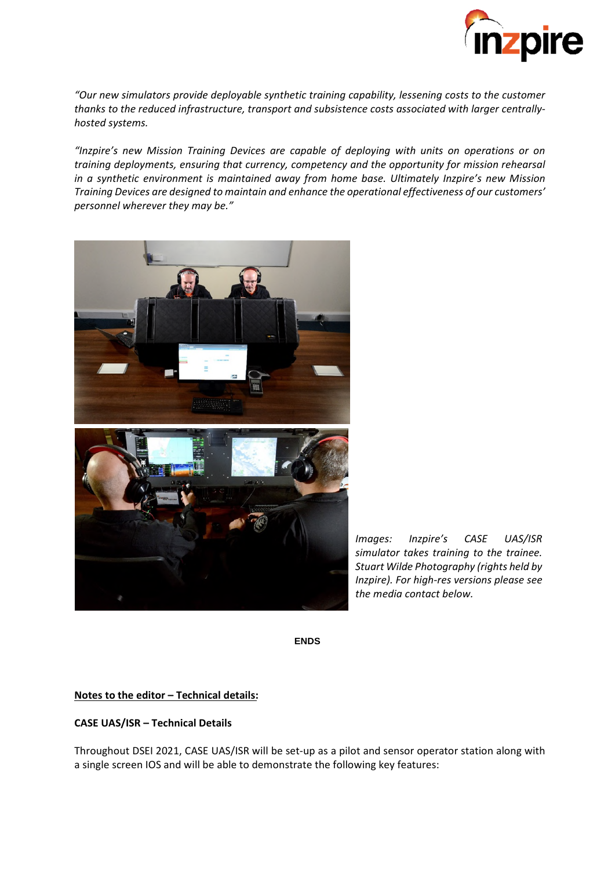

*"Our new simulators provide deployable synthetic training capability, lessening costs to the customer thanks to the reduced infrastructure, transport and subsistence costs associated with larger centrallyhosted systems.*

*"Inzpire's new Mission Training Devices are capable of deploying with units on operations or on training deployments, ensuring that currency, competency and the opportunity for mission rehearsal in a synthetic environment is maintained away from home base. Ultimately Inzpire's new Mission Training Devices are designed to maintain and enhance the operational effectiveness of our customers' personnel wherever they may be."*



*Images: Inzpire's CASE UAS/ISR simulator takes training to the trainee. Stuart Wilde Photography (rights held by Inzpire). For high-res versions please see the media contact below.*

**ENDS**

## **Notes to the editor – Technical details:**

## **CASE UAS/ISR – Technical Details**

Throughout DSEI 2021, CASE UAS/ISR will be set-up as a pilot and sensor operator station along with a single screen IOS and will be able to demonstrate the following key features: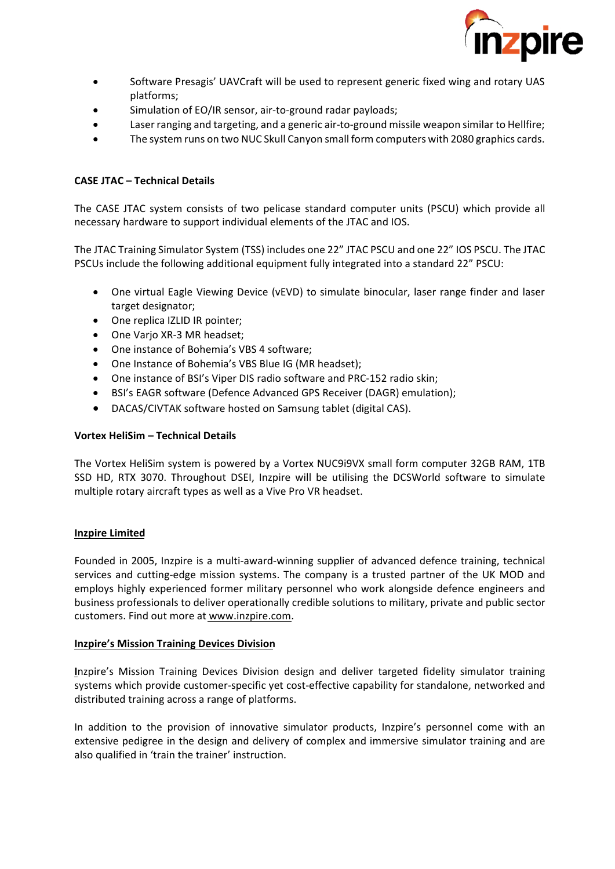

- Software Presagis' UAVCraft will be used to represent generic fixed wing and rotary UAS platforms;
- Simulation of EO/IR sensor, air-to-ground radar payloads;
- Laser ranging and targeting, and a generic air-to-ground missile weapon similar to Hellfire;
- The system runs on two NUC Skull Canyon small form computers with 2080 graphics cards.

# **CASE JTAC – Technical Details**

The CASE JTAC system consists of two pelicase standard computer units (PSCU) which provide all necessary hardware to support individual elements of the JTAC and IOS.

The JTAC Training Simulator System (TSS) includes one 22" JTAC PSCU and one 22" IOS PSCU. The JTAC PSCUs include the following additional equipment fully integrated into a standard 22" PSCU:

- One virtual Eagle Viewing Device (vEVD) to simulate binocular, laser range finder and laser target designator;
- One replica IZLID IR pointer;
- One Varjo XR-3 MR headset;
- One instance of Bohemia's VBS 4 software;
- One Instance of Bohemia's VBS Blue IG (MR headset);
- One instance of BSI's Viper DIS radio software and PRC-152 radio skin;
- BSI's EAGR software (Defence Advanced GPS Receiver (DAGR) emulation);
- DACAS/CIVTAK software hosted on Samsung tablet (digital CAS).

# **Vortex HeliSim – Technical Details**

The Vortex HeliSim system is powered by a Vortex NUC9i9VX small form computer 32GB RAM, 1TB SSD HD, RTX 3070. Throughout DSEI, Inzpire will be utilising the DCSWorld software to simulate multiple rotary aircraft types as well as a Vive Pro VR headset.

## **Inzpire Limited**

Founded in 2005, Inzpire is a multi-award-winning supplier of advanced defence training, technical services and cutting-edge mission systems. The company is a trusted partner of the UK MOD and employs highly experienced former military personnel who work alongside defence engineers and business professionals to deliver operationally credible solutions to military, private and public sector customers. Find out more at www.inzpire.com.

## **Inzpire's Mission Training Devices Division**

**I**nzpire's Mission Training Devices Division design and deliver targeted fidelity simulator training systems which provide customer-specific yet cost-effective capability for standalone, networked and distributed training across a range of platforms.

In addition to the provision of innovative simulator products, Inzpire's personnel come with an extensive pedigree in the design and delivery of complex and immersive simulator training and are also qualified in 'train the trainer' instruction.